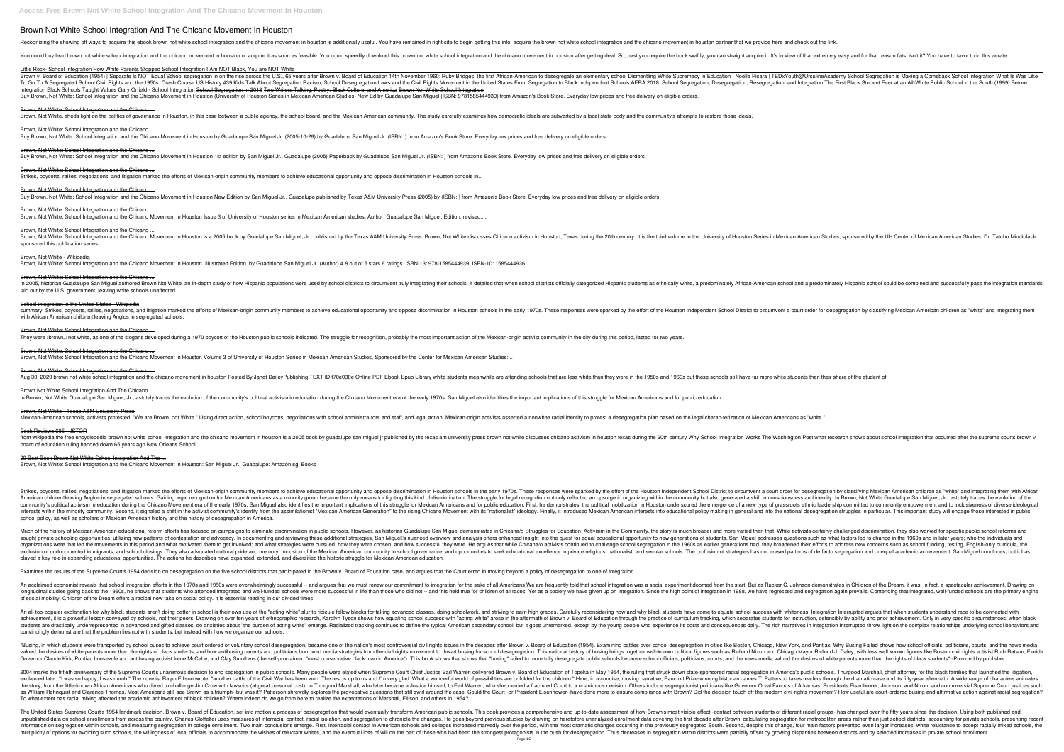# **Brown Not White School Integration And The Chicano Movement In Houston**

Recognizing the showing off ways to acquire this ebook brown not white school integration and the chicano movement in houston is additionally useful. You have remained in right site to begin getting this info. acquire the

You could buy lead brown not white school integration and the chicano movement in houston or acquire it as soon as feasible. You could speedily download this brown not white school integration and the chicano movement in h

Little Rock- School Integration How White Parents Stopped School Integration I Am NOT Black, You are NOT White

Brown v. Board of Education (1954) | Separate Is NOT Equal School segregation in on the rise across the U.S., 65 years after Brown v. Board of Education 14th November 1960: Ruby Bridges, the first African-American to deseg Regregated School Civil Rights and the 1950s: Crash Course US History #39 <del>Kids Talk About Segregation</del> Racism, School Desegregation, Desegregation, and Integration The First Black Student Ever at an All-White Public Schoo Integration Black Schools Taught Values Gary Orfield - School Integration <del>School Segregation in 2018 Two Writers Talking: Poetry, Black Culture, and America Brown Not White School Integration</del> Buy Brown, Not White: School Integration and the Chicano Movement in Houston (University of Houston Series in Mexican American Studies) New Ed by Guadalupe San Miguel (ISBN: 9781585444939) from Amazon's Book Store. Everyda

#### Brown, Not White: School Integration and the Chicano...

Brown, Not White, sheds light on the politics of governance in Houston, in this case between a public agency, the school board, and the Mexican American community. The study carefully examines how democratic ideals are sub

Brown, Not White: School Integration and the Chicano ...

Buy Brown, Not White: School Integration and the Chicano Movement in Houston by Guadalupe San Miguel Jr. (2005-10-26) by Guadalupe San Miguel Jr. (ISBN:) from Amazon's Book Store. Everyday low prices and free delivery on e

Brown, Not White: School Integration and the Chicano...

Buy Brown, Not White: School Integration and the Chicano Movement in Houston 1st edition by San Miguel Jr., Guadalupe (2005) Paperback by Guadalupe San Miguel Jr. (ISBN:) from Amazon's Book Store. Everyday low prices and f

## Brown, Not White: School Integration and the Chicano ...

Brown, Not White: School Integration and the Chicano...

Strikes, boycotts, rallies, negotiations, and litigation marked the efforts of Mexican-origin community members to achieve educational opportunity and oppose discrimination in Houston schools in...

Buy Brown, Not White: School Integration and the Chicano Movement in Houston New Edition by San Miguel Jr., Guadalupe published by Texas A&M University Press (2005) by (ISBN:) from Amazon's Book Store. Everyday low prices

Brown, Not White: School Integration and the Chicano... Brown, Not White: School Integration and the Chicano Movement in Houston is a 2005 book by Guadalupe San Miguel, Jr., published by the Texas A&M University of Houston, Texas A&M University Press. Brown, Not White discusses sponsored this publication series.

In 2005, historian Guadalupe San Miguel authored Brown Not White, an in-depth study of how Hispanic populations were used by school districts to circumvent truly integrating their school and a predominately Hispanic school laid out by the U.S. government, leaving white schools unaffected.

## Brown, Not White: School Integration and the Chicano ...

Brown, Not White: School Integration and the Chicano Movement in Houston Issue 3 of University of Houston series in Mexican American studies: Author: Guadalupe San Miguel: Edition: revised:...

in houston is a 2005 book by guadalupe san miguel in free wolo integration and the chicano movement in houston is a 2005 book by guadalupe san miguel ir published by the texas am university press brown not white discusses board of education ruling handed down 65 years ago New Orleans School ...

#### Brown, Not White - Wikipedia

Brown, Not White: School Integration and the Chicano Movement in Houston. Illustrated Edition. by Guadalupe San Miguel Jr. (Author) 4.8 out of 5 stars 6 ratings. ISBN-13: 978-1585444939. ISBN-10: 1585444936

#### Brown, Not White: School Integration and the Chicano...

Strikes, boycotts, rallies, negotiations, and litigation marked the efforts of Mexican-origin community members to achieve educational oppose discrimination in Houston Independent School District to circumvent a court orde American childrenlleaving Anglos in segregated schools. Gaining legal recognition for Mexican Americans as a minority group became the only means for fighting this kind of discrimination. The struggle for legal recognition community's political activism in education during the Chicano Movement era of the early 1970s. San Miguel also identifies the important implications of this struggle for Mexican Americans and for public education. First, interests within the minority community. Second, it signaled a shift in the activist community's identity from the assimilationist "Mexican American interests into educational policy making in general and into the national school policy, as well as scholars of Mexican American history and the history of desegregation in America.

#### School integration in the United States - Wikipedia

summary. Strikes, boycotts, rallies, negotiations, and litigation marked the efforts of Mexican-origin community members to achieve educational opportunity and oppose discrimination in Houston Independent School District t with African American childrendleaving Anglos in segregated schools.

## Brown, Not White: School Integration and the Chicano...

They were Dbrown,D not white, as one of the slogans developed during a 1970 boycott of the Houston public schools indicated. The struggle for recognition, probably the most important action of the Mexican-origin activist c

Brown, Not White: School Integration and the Chicano... Brown, Not White: School Integration and the Chicano Movement in Houston Volume 3 of University of Houston Series in Mexican American Studies, Sponsored by the Center for Mexican American Studies:...

## Brown, Not White: School Integration and the Chicano ...

Aug 30, 2020 brown not white school integration and the chicano movement in houston Posted By Janet DaileyPublishing TEXT ID f70e030e Online PDF Ebook Epub Library white students meanwhile are less white than they were in

Much of the history of Mexican American educational reform efforts has focused on campaigns to eliminate discrimination in public schools. However, as historian Chand than that. While activists certainly challenged discrim sought private schooling opportunities, utilizing new patterns of contestation and advocacy. In documenting and reviewing these additional strategies, San Miguel addresses questions such as what factors led to change in th organizations were that led the movements in this period and what motivated them to get involved; and what strategies were pursued, how they were chosen, and how successful they were chosen, and how successful they were. H resclusion of undocumented immigrants, and school closings. They also advocated cultural pride and memory, inclusion of the Mexican American community in school governance, and opportunities to seek educational excellence played a key role in expanding educational opportunities. The actions he describes have expanded, extended, and diversified the historic struggle for Mexican American education.

Examines the results of the Supreme Court's 1954 decision on desegregation on the five school districts that participated in the Brown v. Board of Education case, and argues that the Court erred in moving beyond a policy o

An acclaimed economist reveals that school integration efforts in the 1970s and 1980s were overwhelmingly successful -- and argues that we must renew our commitment to integration was a social experiment to integration for Iongitudinal studies going back to the 1960s, he shows that students who attended integrated and well-funded schools were more successful in life than those who did not -- and this held true for children of all races. Yet of social mobility, Children of the Dream offers a radical new take on social policy. It is essential reading in our divided times.

Brown Not White School Integration And The Chicano ...

#### Brown, Not White - Texas A&M University Press

Mexican-American schools, activists protested, "We are Brown, not White." Using direct action, school boycotts, negotiations with school administra-tors and staff, and legal action, Mexican-origin activists asserted a nonw

An all-too-popular explanation for why black students aren't doing better in school is their own use of the "acting white" slur to ridicule fellow blacks for taking advanced classes, doing school success with whiteness, In reachievement, it is a powerful lesson conveyed by schools, not their peers. Drawing on over ten years of ethnographic research, Karolyn Tyson shows how equating school success with "acting white" arose in the aftermath of students are drastically underrepresented in advanced and gifted classes, do anxieties about "the burden of acting white" emerge. Racialized tracking continues to define the typical American secondary school, but it goes u convincingly demonstrate that the problem lies not with students, but instead with how we organize our schools.

"Busing, in which students were transported by school buses to achieve court ordered or voluntary school desegregation, became one of the nation's most controversial civil rights issues in the decades after Brown v. Board valued the desires of white parents more than the rights of black students, and how antibusing parents and how antibusing parents and politicians borrowed media strategies from the civil rights movement to thwart busing fo Governor Claude Kirk, Pontiac housewife and antibusing activist Irene McCabe, and Clay Smothers (the self-proclaimed "most conservative black man in America"). This book shows that shows media valued the desires of white p

## Book Reviews 605 - JSTOR

### 20 Best Book Brown Not White School Integration And The ...

Brown, Not White: School Integration and the Chicano Movement in Houston: San Miguel Jr., Guadalupe: Amazon.sg: Books

2004 marks the fiftieth anniversary of the Supreme Court's unanimous decision to end segregation in public schools. Many people were elated when Supreme Court Chief Justice Earl Warren delivered Brown v. Board of Education The novelist Ralph Ellison wrote, "another battle of the Civil War has been won. The rest is up to us and I'm very glad. What a wonderful world of possibilities are unfolded for the dramatic case and its fifty-year afterma In Crow with lawsuits (at great personal cost); to Thurgood Marshall, who later became a Justice himself; to Earl Warren, who shepherded a fractured Court to a unanimous decision. Others include segregationist politicians Patterson shrewdly explores the provocative questions the modern civil rights movement? How useful are court-ordered busing and affirmative action against racial segregation? as a William Rehnquist and Clarence Thomas. Mos To what extent has racial mixing affected the academic achievement of black children? Where indeed do we go from here to realize the expectations of Marshall, Ellison, and others in 1954?

The United States Supreme Court's 1954 landmark decision, Brown v. Board of Education, set into motion a process of desegregation that would eventually transform American public schools. This book provides a comprehensive unpublished data on school enrollments from across the country, Charles Clotfelter uses measures of interracial contact, racial isolation, and segregation for metropolitan areas rather than just school districts, accountin information on segregation within schools, and measuring segregation in college enrollment. Two main conclusions emerge. First, interracial contact in American schools and colleges increased markedly over the period, with multiplicity of options for avoiding such schools, the willingness of local officials to accommodate the wishes of reluctant whites, and the eventual loss of will on the push for desegregation within districts were partial

In Brown, Not White Guadalupe San Miguel, Jr., astutely traces the evolution of the community's political activism in education during the Chicano Movement era of the early 1970s. San Miguel also identifies the important i